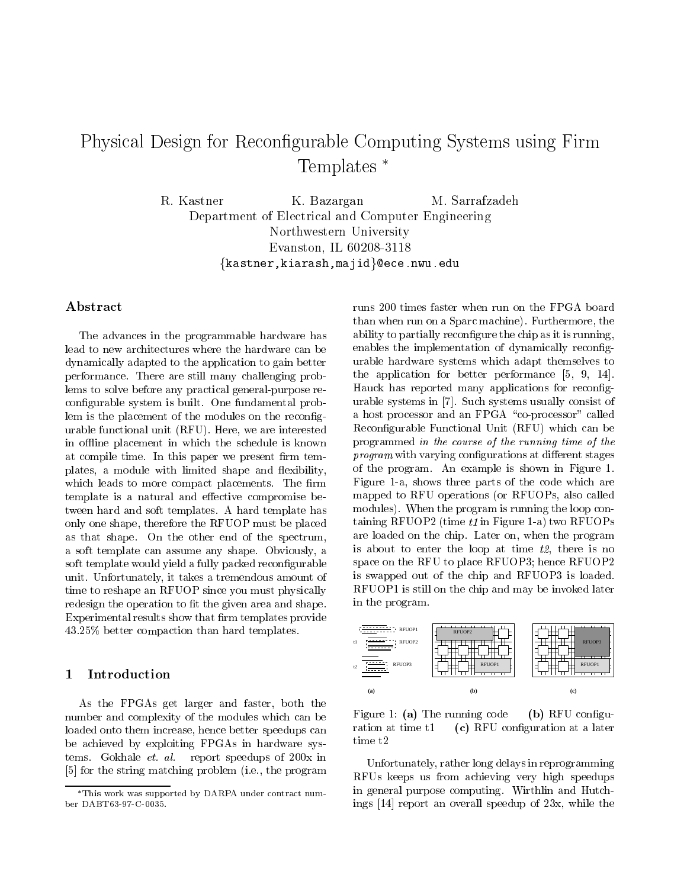# Physical Design for Recongurable Computing Systems using Firm Templates

R.K. Bazargan M. Sarrafzadeh Department of Electrical and Computer Engineering northwestern University (1999) Evanston, IL 60208-3118 fkastner,kiarash,majidg@ece.nwu.edu

### ${\bf Abstract}$

The advances in the programmable hardware has lead to new architectures where the hardware can be dynamically adapted to the application to gain better performance. There are still many challenging problems to solve before any practical general-purpose reconfigurable system is built. One fundamental problem is the placement of the modules on the reconfigurable functional unit (RFU). Here, we are interested in offline placement in which the schedule is known at compile time. In this paper we present firm templates, a module with limited shape and flexibility, which leads to more compact placements. The firm template is a natural and effective compromise between hard and soft templates. A hard template has only one shape, therefore the RFUOP must be placed as that shape. On the other end of the spectrum, a soft template can assume any shape. Obviously, a soft template would yield a fully packed reconfigurable unit. Unfortunately, it takes a tremendous amount of time to reshape an RFUOP since you must physically redesign the operation to fit the given area and shape. Experimental results show that firm templates provide 43.25% better compaction than hard templates.

#### **Introduction**  $\mathbf 1$

As the FPGAs get larger and faster, both the number and complexity of the modules which can be loaded onto them increase, hence better speedups can be achieved by exploiting FPGAs in hardware systems. Gokhale et. al. report speedups of 200x in [5] for the string matching problem (i.e., the program runs 200 times faster when run on the FPGA board than when run on a Sparc machine). Furthermore, the ability to partially reconfigure the chip as it is running, enables the implementation of dynamically recongurable hardware systems which adapt themselves to the application for better performance [5, 9, 14]. Hauck has reported many applications for recongurable systems in [7]. Such systems usually consist of a host processor and an FPGA "co-processor" called Reconfigurable Functional Unit (RFU) which can be programmed in the course of the running time of the program with varying configurations at different stages of the program. An example is shown in Figure 1. Figure 1-a, shows three parts of the code which are mapped to RFU operations (or RFUOPs, also called modules). When the program is running the loop containing RFUOP2 (time  $t1$  in Figure 1-a) two RFUOPs are loaded on the chip. Later on, when the program is about to enter the loop at time  $t\mathscr{L}$ , there is no space on the RFU to place RFUOP3; hence RFUOP2 is swapped out of the chip and RFUOP3 is loaded. RFUOP1 is still on the chip and may be invoked later in the program.



Figure 1: (a) The running code (b) RFU configuration at time  $t1$  (c) RFU configuration at a later time t2

Unfortunately, rather long delays in reprogramming RFUs keeps us from achieving very high speedups in general purpose computing. Wirthlin and Hutchings [14] report an overall speedup of 23x, while the

This work was supported by DARPA under contract num ber DABT63-97-C-0035.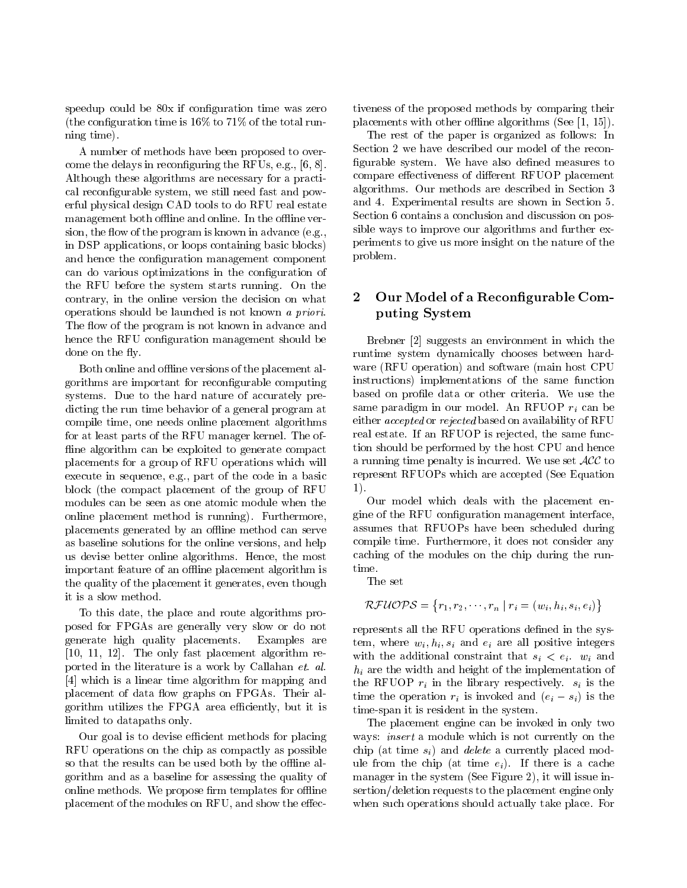speedup could be  $80x$  if configuration time was zero (the configuration time is  $16\%$  to 71% of the total running time).

A number of methods have been proposed to overcome the delays in reconfiguring the RFUs, e.g.,  $[6, 8]$ . Although these algorithms are necessary for a practical reconfigurable system, we still need fast and powerful physical design CAD tools to do RFU real estate management both offline and online. In the offline version, the flow of the program is known in advance (e.g., in DSP applications, or loops containing basic blocks) and hence the configuration management component can do various optimizations in the conguration of the RFU before the system starts running. On the contrary, in the online version the decision on what operations should be launched is not known a priori. The flow of the program is not known in advance and hence the RFU configuration management should be done on the fly.

Both online and offline versions of the placement algorithms are important for recongurable computing systems. Due to the hard nature of accurately predicting the run time behavior of a general program at compile time, one needs online placement algorithms for at least parts of the RFU manager kernel. The of fline algorithm can be exploited to generate compact placements for a group of RFU operations which will execute in sequence, e.g., part of the code in a basic block (the compact placement of the group of RFU modules can be seen as one atomic module when the online placement method is running). Furthermore, placements generated by an offline method can serve as baseline solutions for the online versions, and help us devise better online algorithms. Hence, the most important feature of an offline placement algorithm is the quality of the placement it generates, even though it is a slow method.

To this date, the place and route algorithms proposed for FPGAs are generally very slow or do not generate high quality placements. Examples are [10, 11, 12]. The only fast placement algorithm reported in the literature is a work by Callahan et. al. [4] which is a linear time algorithm for mapping and placement of data flow graphs on FPGAs. Their algorithm utilizes the FPGA area efficiently, but it is limited to datapaths only.

Our goal is to devise efficient methods for placing RFU operations on the chip as compactly as possible so that the results can be used both by the offline algorithm and as a baseline for assessing the quality of online methods. We propose firm templates for offline placement of the modules on RFU, and show the effectiveness of the proposed methods by comparing their placements with other offline algorithms (See  $[1, 15]$ ).

The rest of the paper is organized as follows: In Section 2 we have described our model of the recon figurable system. We have also defined measures to compare effectiveness of different RFUOP placement algorithms. Our methods are described in Section 3 and 4. Experimental results are shown in Section 5. Section 6 contains a conclusion and discussion on possible ways to improve our algorithms and further experiments to give us more insight on the nature of the problem.

# 2 Our Model of a Reconfigurable Computing System

Brebner [2] suggests an environment in which the runtime system dynamically chooses between hard ware (RFU operation) and software (main host CPU instructions) implementations of the same function based on profile data or other criteria. We use the same paradigm in our model. An RFUOP  $r_i$  can be either *accepted* or *rejected* based on availability of RFU real estate. If an RFUOP is rejected, the same function should be performed by the host CPU and hence a running time penalty is incurred. We use set  $ACC$  to represent RFUOPs which are accepted (See Equation 1).

Our model which deals with the placement engine of the RFU configuration management interface. assumes that RFUOPs have been scheduled during compile time. Furthermore, it does not consider any caching of the modules on the chip during the runtime.

The set

$$
\mathcal{RFUOPS}=\{r_1,r_2,\cdots,r_n\mid r_i=(w_i,h_i,s_i,e_i)\}
$$

represents all the RFU operations defined in the system, where  $w_i, h_i, s_i$  and  $e_i$  are all positive integers with the additional constraint that  $s_i < e_i$ .  $w_i$  and  $h_i$  are the width and height of the implementation of the RFUOP  $r_i$  in the library respectively.  $s_i$  is the time the operation  $r_i$  is invoked and  $(e_i - s_i)$  is the time-span it is resident in the system.

The placement engine can be invoked in only two ways: insert a module which is not currently on the chip (at time  $s_i$ ) and *delete* a currently placed module from the chip (at time  $e_i$ ). If there is a cache manager in the system (See Figure 2), it will issue insertion/deletion requests to the placement engine only when such operations should actually take place. For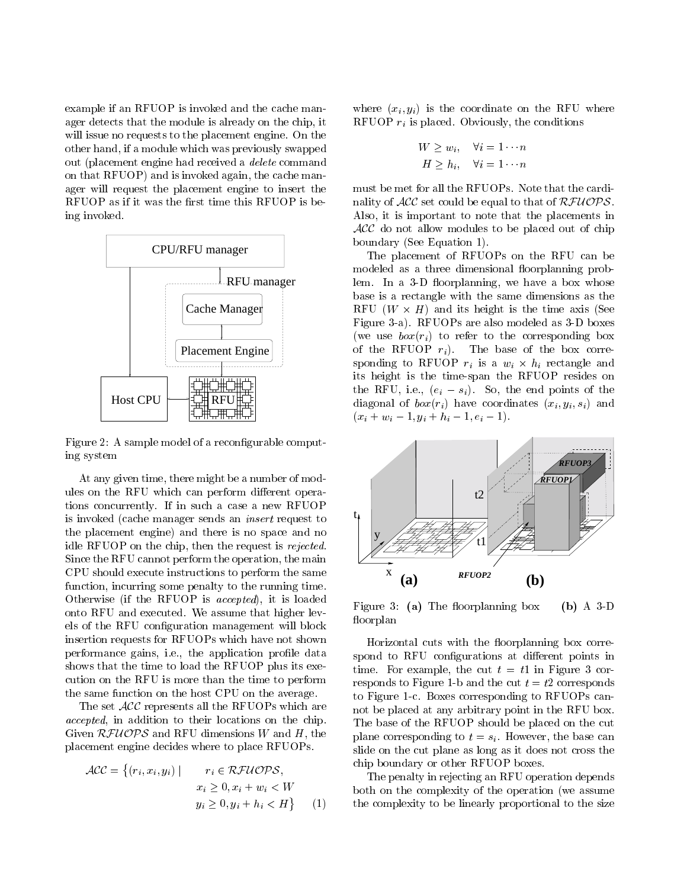example if an RFUOP is invoked and the cache manager detects that the module is already on the chip, it will issue no requests to the placement engine. On the other hand, if a module which was previously swapped out (placement engine had received a delete command on that RFUOP) and is invoked again, the cache manager will request the placement engine to insert the RFUOP as if it was the first time this RFUOP is being invoked.



Figure 2: A sample model of a reconfigurable computing system

At any given time, there might be a number of modules on the RFU which can perform different operations concurrently. If in such a case a new RFUOP is invoked (cache manager sends an insert request to the placement engine) and there is no space and no idle RFUOP on the chip, then the request is *rejected*. Since the RFU cannot perform the operation, the main CPU should execute instructions to perform the same function, incurring some penalty to the running time. Otherwise (if the RFUOP is accepted), it is loaded onto RFU and executed. We assume that higher levels of the RFU configuration management will block insertion requests for RFUOPs which have not shown performance gains, i.e., the application profile data shows that the time to load the RFUOP plus its execution on the RFU is more than the time to perform the same function on the host CPU on the average.

The set  $ACC$  represents all the RFUOPs which are accepted, in addition to their locations on the chip. Given  ${\mathcal{RFUOPS}}$  and RFU dimensions  $W$  and  $H,$  the placement engine decides where to place RFUOPs.

$$
\mathcal{ACC} = \{ (r_i, x_i, y_i) \mid r_i \in \mathcal{RFUOPS},
$$
  
\n
$$
x_i \geq 0, x_i + w_i < W
$$
  
\n
$$
y_i \geq 0, y_i + h_i < H \} \tag{1}
$$

where  $(x_i, y_i)$  is the coordinate on the RFU where RFUOP  $r_i$  is placed. Obviously, the conditions

$$
W \ge w_i, \quad \forall i = 1 \cdots n
$$

$$
H \ge h_i, \quad \forall i = 1 \cdots n
$$

must be met for all the RFUOPs. Note that the cardinality of  $ACC$  set could be equal to that of  $RFIUOPS$ . Also, it is important to note that the placements in ACC do not allow modules to be placed out of chip boundary (See Equation 1).

The placement of RFUOPs on the RFU can be modeled as a three dimensional floorplanning problem. In a 3-D floorplanning, we have a box whose base is a rectangle with the same dimensions as the RFU (W - H) and its height is the time axis (See Figure 3-a). RFUOPs are also modeled as 3-D boxes (we use  $box(r_i)$  to refer to the corresponding box of the RFUOP  $r_i$ ). The base of the box corresponding to RSU v  $\sigma = \sigma$  is a will consider an  $\sigma$  -  $\sigma$ its height is the time-span the RFUOP resides on the RFU, i.e.,  $(e_i - s_i)$ . So, the end points of the diagonal of  $box(r_i)$  have coordinates  $(x_i, y_i, s_i)$  and  $(x_i + w_i - 1, y_i + h_i - 1, e_i - 1).$ 



Figure 3: (a) The floorplanning box (b) A 3-D floorplan

Horizontal cuts with the floorplanning box correspond to RFU configurations at different points in time. For example, the cut  $t = t1$  in Figure 3 corresponds to Figure 1-b and the cut  $t = t2$  corresponds to Figure 1-c. Boxes corresponding to RFUOPs cannot be placed at any arbitrary point in the RFU box. The base of the RFUOP should be placed on the cut plane corresponding to  $t = s_i$ . However, the base can slide on the cut plane as long as it does not cross the chip boundary or other RFUOP boxes.

 $x_i \geq 0$ ,  $x_i \to x_i$ ,  $\ldots$  both on the complexity of the operation (we assume (1) The penalty in rejecting an RFU operation depends the complexity to be linearly proportional to the size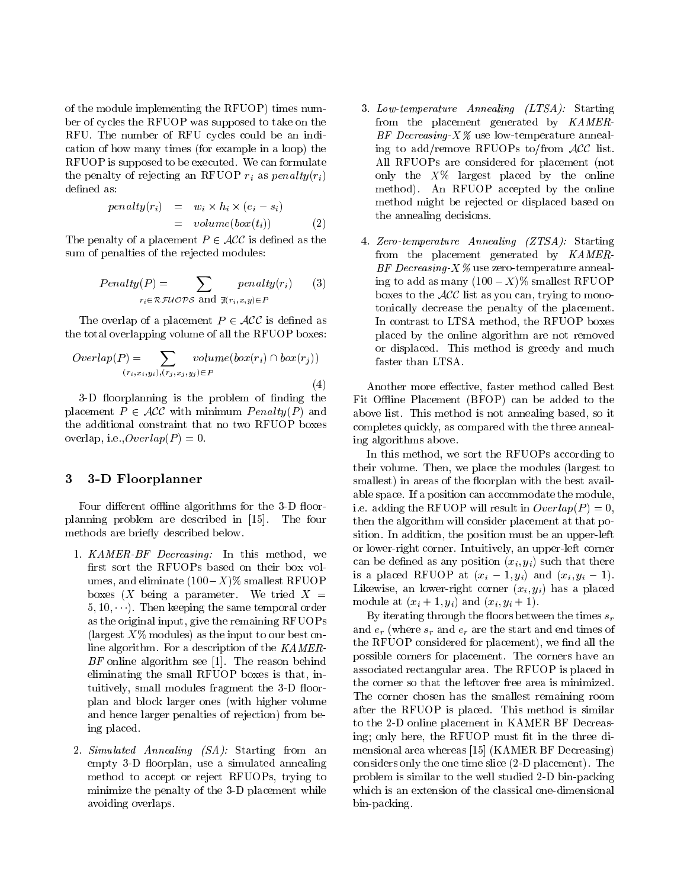of the module implementing the RFUOP) times number of cycles the RFUOP was supposed to take on the RFU. The number of RFU cycles could be an indication of how many times (for example in a loop) the RFUOP is supposed to be executed. We can formulate the penalty of rejecting an RFUOP  $r_i$  as penalty $(r_i)$ defined as:

$$
penalty(r_i) = w_i \times h_i \times (e_i - s_i)
$$
  
= volume(box(t<sub>i</sub>)) (2)

The penalty of a placement  $P \in \text{ACC}$  is defined as the sum of penalties of the rejected modules:

$$
Penalty(P) = \sum_{r_i \in \mathcal{RFU} \cap \mathcal{PS} \text{ and } \exists (r_i, x, y) \in P} penalty(r_i) \qquad (3)
$$

The overlap of a placement  $P \in \text{ACC}$  is defined as the total overlapping volume of all the RFUOP boxes:

$$
Overlap(P) = \sum_{(r_i, x_i, y_i), (r_j, x_j, y_j) \in P} volume(box(r_i) \cap box(r_j))
$$
\n(4)

3-D floorplanning is the problem of finding the placement  $P \in \mathcal{ACC}$  with minimum  $Penalty(P)$  and the additional constraint that no two RFUOP boxes overlap, i.e.,  $\text{Overlap}(P) = 0$ .

### 3 3-D Floorplanner

Four different offline algorithms for the 3-D floorplanning problem are described in [15]. The four methods are briefly described below.

- 1. KAMER-BF Decreasing: In this method, we first sort the RFUOPs based on their box volumes, and eliminate  $(100-X)\%$  smallest RFUOP boxes (X being a parameter. We tried  $X =$  $5, 10, \ldots$ ). Then keeping the same temporal order as the original input, give the remaining RFUOPs (largest  $X\%$  modules) as the input to our best online algorithm. For a description of the KAMER-BF online algorithm see [1]. The reason behind eliminating the small RFUOP boxes is that, intuitively, small modules fragment the 3-D floorplan and block larger ones (with higher volume and hence larger penalties of rejection) from being placed.
- 2. Simulated Annealing (SA): Starting from an empty 3-D floorplan, use a simulated annealing method to accept or reject RFUOPs, trying to minimize the penalty of the 3-D placement while avoiding overlaps.
- 3. Low-temperature Annealing (LTSA): Starting from the placement generated by KAMER-BF Decreasing- $X\%$  use low-temperature annealing to add/remove RFUOPs to/from  $ACC$  list. All RFUOPs are considered for placement (not only the  $X\%$  largest placed by the online method). An RFUOP accepted by the online method might be rejected or displaced based on the annealing decisions.
- 4. Zero-temperature Annealing (ZTSA): Starting from the placement generated by KAMER-BF Decreasing- $X\,\%$  use zero-temperature annealing to add as many  $(100 - X)\%$  smallest RFUOP boxes to the  $ACC$  list as you can, trying to monotonically decrease the penalty of the placement. In contrast to LTSA method, the RFUOP boxes placed by the online algorithm are not removed or displaced. This method is greedy and much faster than LTSA.

(4) Another more effective, faster method called Best Fit Offline Placement (BFOP) can be added to the above list. This method is not annealing based, so it completes quickly, as compared with the three annealing algorithms above.

> In this method, we sort the RFUOPs according to their volume. Then, we place the modules (largest to smallest) in areas of the floorplan with the best available space. If a position can accommodate the module, i.e. adding the RFUOP will result in  $\text{Overlap}(P) = 0$ , then the algorithm will consider placement at that position. In addition, the position must be an upper-left or lower-right corner. Intuitively, an upper-left corner can be defined as any position  $(x_i, y_i)$  such that there is a placed RFUOP at  $(x_i - 1, y_i)$  and  $(x_i, y_i - 1)$ . Likewise, an lower-right corner  $(x_i, y_i)$  has a placed module at  $(x_i + 1, y_i)$  and  $(x_i, y_i + 1)$ .

> By iterating through the floors between the times  $s_r$ and  $e_r$  (where  $s_r$  and  $e_r$  are the start and end times of the RFUOP considered for placement), we find all the possible corners for placement. The corners have an associated rectangular area. The RFUOP is placed in the corner so that the leftover free area is minimized. The corner chosen has the smallest remaining room after the RFUOP is placed. This method is similar to the 2-D online placement in KAMER BF Decreasing; only here, the RFUOP must fit in the three dimensional area whereas [15] (KAMER BF Decreasing) considers only the one time slice (2-D placement). The problem is similar to the well studied 2-D bin-packing which is an extension of the classical one-dimensional bin-packing.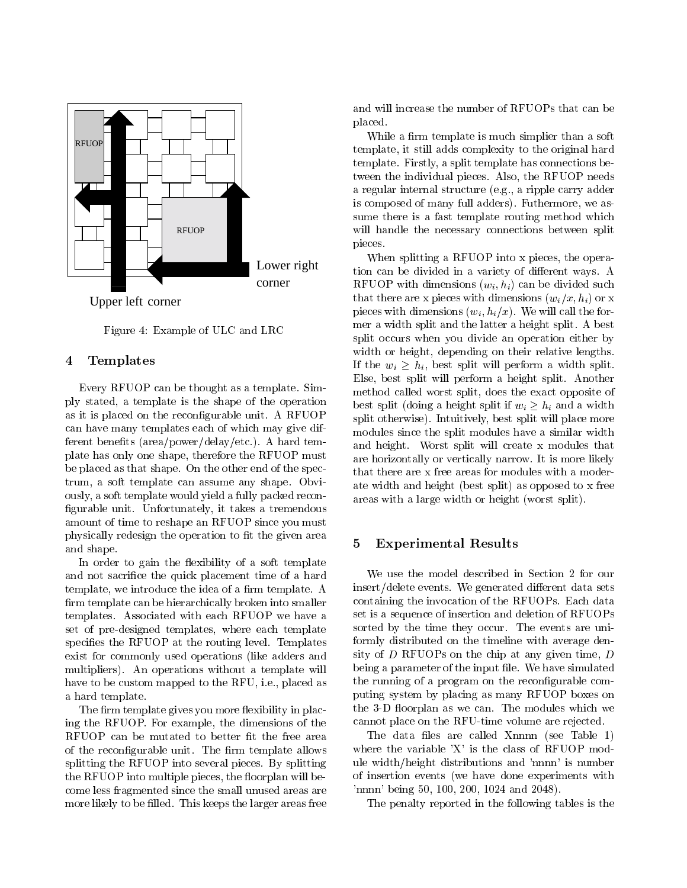

Figure 4: Example of ULC and LRC

#### $\overline{\mathbf{4}}$ Templates

Every RFUOP can be thought as a template. Simply stated, a template is the shape of the operation as it is placed on the reconfigurable unit. A RFUOP can have many templates each of which may give different benefits  $(\text{area}/\text{power}/\text{delay}/\text{etc.})$ . A hard template has only one shape, therefore the RFUOP must be placed as that shape. On the other end of the spectrum, a soft template can assume any shape. Obviously, a soft template would yield a fully packed recon figurable unit. Unfortunately, it takes a tremendous amount of time to reshape an RFUOP since you must physically redesign the operation to fit the given area  $\overline{5}$ and shape.

In order to gain the flexibility of a soft template and not sacrifice the quick placement time of a hard template, we introduce the idea of a firm template. A firm template can be hierarchically broken into smaller templates. Associated with each RFUOP we have a set of pre-designed templates, where each template specifies the RFUOP at the routing level. Templates exist for commonly used operations (like adders and multipliers). An operations without a template will have to be custom mapped to the RFU, i.e., placed as a hard template.

The firm template gives you more flexibility in placing the RFUOP. For example, the dimensions of the RFUOP can be mutated to better fit the free area of the reconfigurable unit. The firm template allows splitting the RFUOP into several pieces. By splitting the RFUOP into multiple pieces, the floorplan will become less fragmented since the small unused areas are more likely to be filled. This keeps the larger areas free and will increase the number of RFUOPs that can be placed.

While a firm template is much simplier than a soft template, it still adds complexity to the original hard template. Firstly, a split template has connections between the individual pieces. Also, the RFUOP needs a regular internal structure (e.g., a ripple carry adder is composed of many full adders). Futhermore, we assume there is a fast template routing method which will handle the necessary connections between split pieces.

When splitting a RFUOP into x pieces, the operation can be divided in a variety of different ways. A RFUOP with dimensions  $(w_i, h_i)$  can be divided such that there are x pieces with dimensions  $(w_i/x, h_i)$  or x pieces with dimensions  $(w_i, h_i/x)$ . We will call the former a width split and the latter a height split. A best split occurs when you divide an operation either by width or height, depending on their relative lengths. If the  $w_i \geq h_i$ , best split will perform a width split. Else, best split will perform a height split. Another method called worst split, does the exact opposite of best split (doing a height split if  $w_i \geq h_i$  and a width split otherwise). Intuitively, best split will place more modules since the split modules have a similar width and height. Worst split will create x modules that are horizontally or vertically narrow. It is more likely that there are x free areas for modules with a moderate width and height (best split) as opposed to x free areas with a large width or height (worst split).

### 5 Experimental Results

We use the model described in Section 2 for our insert/delete events. We generated different data sets containing the invocation of the RFUOPs. Each data set is a sequence of insertion and deletion of RFUOPs sorted by the time they occur. The events are uniformly distributed on the timeline with average density of <sup>D</sup> RFUOPs on the chip at any given time, <sup>D</sup> being a parameter of the input file. We have simulated the running of a program on the reconfigurable computing system by placing as many RFUOP boxes on the 3-D floorplan as we can. The modules which we cannot place on the RFU-time volume are rejected.

The data files are called Xnnnn (see Table 1) where the variable 'X' is the class of RFUOP module width/height distributions and 'nnnn' is number of insertion events (we have done experiments with 'nnnn' being 50, 100, 200, 1024 and 2048).

The penalty reported in the following tables is the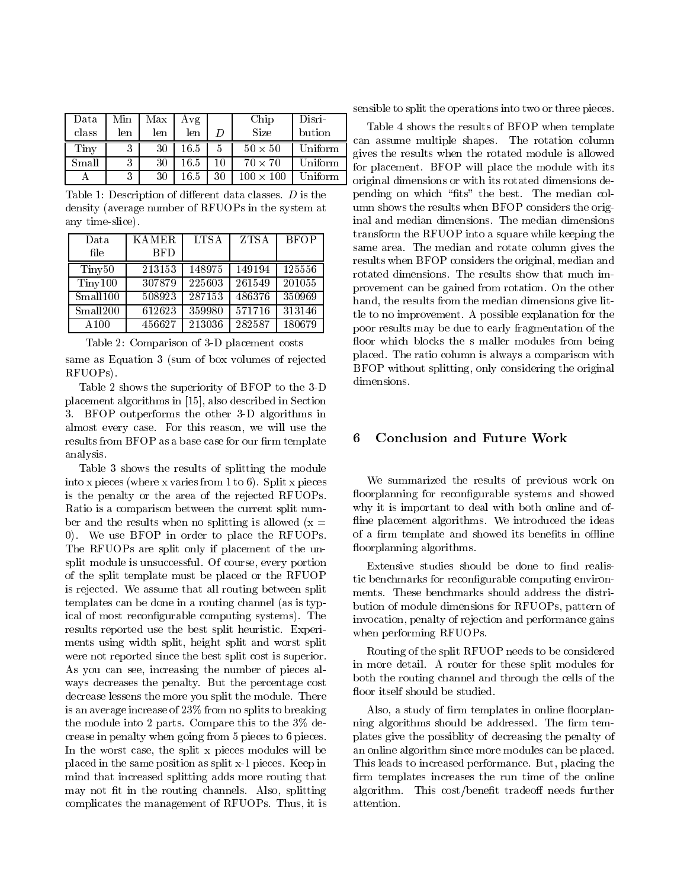| <b>DULLUI</b> |         |                  |    |      |     |     |       |
|---------------|---------|------------------|----|------|-----|-----|-------|
| Τi            | Disri-  | Chip             |    | Avg  | Max | Min | Data  |
| can           | bution  | Size             |    | len  | len | len | class |
| gives         | Uniform | $50 \times 50$   | 5  | 16.5 | 30  | 3   | Tiny  |
| for p         | Uniform | $70 \times 70$   | 10 | 16.5 | 30  | 3   | Small |
| $\alpha$ rigi | Uniform | $100 \times 100$ | 30 | 16.5 | 30  | 3   |       |

Table 1: Description of different data classes.  $D$  is the density (average number of RFUOPs in the system at any time-slice).

| tran         | <b>BFOP</b> | <b>ZTSA</b> | <b>LTSA</b> | <b>KAMER</b> | Data               |
|--------------|-------------|-------------|-------------|--------------|--------------------|
| sam          |             |             |             | <b>BFD</b>   | file               |
| resu<br>rota | 125556      | 149194      | 148975      | 213153       | Tiny <sub>50</sub> |
| proy         | 201055      | 261549      | 225603      | 307879       | Tiny100            |
| han          | 350969      | 486376      | 287153      | 508923       | Small100           |
| tle t        | 313146      | 571716      | 359980      | 612623       | Small200           |
| DOO          | 180679      | 282587      | 213036      | 456627       | A <sub>100</sub>   |

Table 2: Comparison of 3-D placement costs

same as Equation 3 (sum of box volumes of rejected RFUOPs).

Table 2 shows the superiority of BFOP to the 3-D placement algorithms in [15], also described in Section 3. BFOP outperforms the other 3-D algorithms in almost every case. For this reason, we will use the results from RFOP as a base case for our firm template  $\overline{6}$ results from BFOP as a base case for our firm template analysis.

Table 3 shows the results of splitting the module into x pieces (where x varies from 1 to 6). Split x pieces is the penalty or the area of the rejected RFUOPs. Ratio is a comparison between the current split number and the results when no splitting is allowed  $(x =$ 0). We use BFOP in order to place the RFUOPs. The RFUOPs are split only if placement of the unsplit module is unsuccessful. Of course, every portion of the split template must be placed or the RFUOP is rejected. We assume that all routing between split templates can be done in a routing channel (as is typical of most reconfigurable computing systems). The results reported use the best split heuristic. Experiments using width split, height split and worst split were not reported since the best split cost is superior. As you can see, increasing the number of pieces al ways decreases the penalty. But the percentage cost decrease lessens the more you split the module. There is an average increase of 23% from no splits to breaking the module into 2 parts. Compare this to the 3% decrease in penalty when going from 5 pieces to 6 pieces. In the worst case, the split x pieces modules will be placed in the same position as split x-1 pieces. Keep in mind that increased splitting adds more routing that may not fit in the routing channels. Also, splitting complicates the management of RFUOPs. Thus, it is sensible to split the operations into two or three pieces.

 50 Uniform gives the results when the rotated module is allowed 70 Uniform for placement. BFOP will place the module with its <u>--- I see the dimensions</u> or with its rotated dimensions de-Table 4 shows the results of BFOP when template can assume multiple shapes. The rotation column pending on which "fits" the best. The median column shows the results when BFOP considers the original and median dimensions. The median dimensions transform the RFUOP into a square while keeping the same area. The median and rotate column gives the results when BFOP considers the original, median and rotated dimensions. The results show that much improvement can be gained from rotation. On the other hand, the results from the median dimensions give little to no improvement. A possible explanation for the poor results may be due to early fragmentation of the floor which blocks the s maller modules from being placed. The ratio column is always a comparison with BFOP without splitting, only considering the original dimensions.

## 6 Conclusion and Future Work

We summarized the results of previous work on floorplanning for reconfigurable systems and showed why it is important to deal with both online and of fline placement algorithms. We introduced the ideas of a firm template and showed its benefits in offline floorplanning algorithms.

Extensive studies should be done to find realistic benchmarks for reconfigurable computing environments. These benchmarks should address the distribution of module dimensions for RFUOPs, pattern of invocation, penalty of rejection and performance gains when performing RFUOPs.

Routing of the split RFUOP needs to be considered in more detail. A router for these split modules for both the routing channel and through the cells of the floor itself should be studied.

Also, a study of firm templates in online floorplanning algorithms should be addressed. The firm templates give the possiblity of decreasing the penalty of an online algorithm since more modules can be placed. This leads to increased performance. But, placing the firm templates increases the run time of the online algorithm. This cost/benefit tradeoff needs further attention.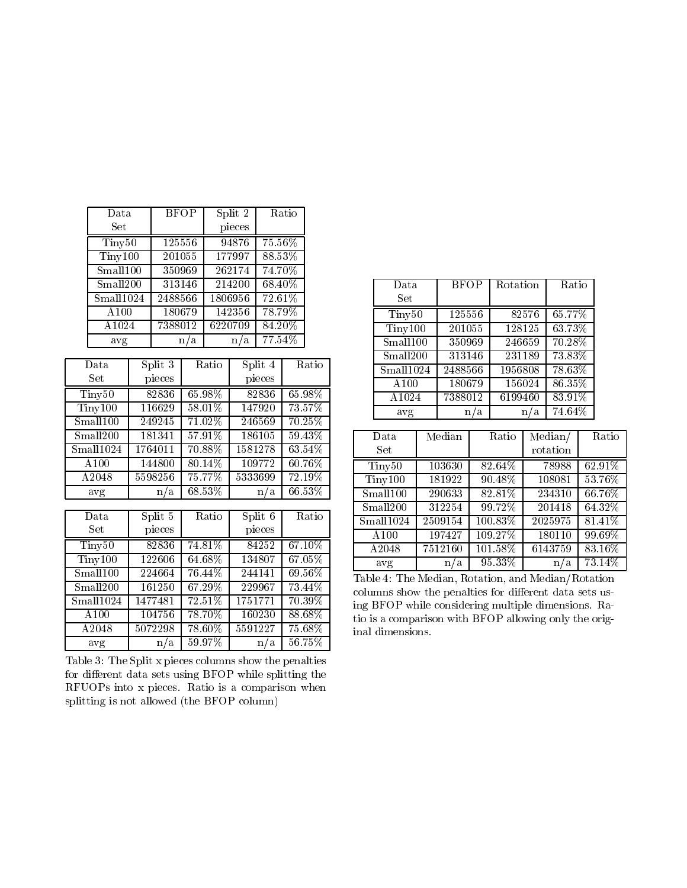| Data                 |        |                      | <b>BFOP</b> |        | Split 2 |           | Ratio  |           |  |  |                                     |               |  |
|----------------------|--------|----------------------|-------------|--------|---------|-----------|--------|-----------|--|--|-------------------------------------|---------------|--|
| Set                  |        |                      |             |        | pieces  |           |        |           |  |  |                                     |               |  |
| Tiny <sub>50</sub>   |        | 125556               |             |        | 94876   | $75.56\%$ |        |           |  |  |                                     |               |  |
| Tiny100              |        | 201055               |             |        | 177997  | 88.53%    |        |           |  |  |                                     |               |  |
| Small100             |        | 350969               |             |        | 262174  | 74.70%    |        |           |  |  |                                     |               |  |
| Small200             |        | 313146               |             |        | 214200  | 68.40%    |        |           |  |  | Data                                |               |  |
| Small1024            |        | 2488566              |             |        | 1806956 | 72.61%    |        |           |  |  | Set                                 |               |  |
| $\overline{A100}$    |        | 180679               |             |        | 142356  | 78.79%    |        |           |  |  | T <sub>iny50</sub>                  |               |  |
| A1024                |        | 7388012              |             |        | 6220709 | 84.20%    |        |           |  |  | Tiny100                             |               |  |
| avg                  |        |                      | n/a         |        | n/a     | 77.54%    |        |           |  |  | Small100                            |               |  |
|                      |        |                      |             |        |         |           |        |           |  |  | Small200                            |               |  |
| Data                 |        | Split $\overline{3}$ |             | Ratio  |         | Split 4   |        | Ratio     |  |  | Small1024                           |               |  |
| Set                  |        | pieces               |             |        |         | pieces    |        |           |  |  | A100                                |               |  |
| Tiny <sub>50</sub>   |        | 82836                |             | 65.98% |         | 82836     | 65.98% |           |  |  |                                     | A1024         |  |
| Tiny100              |        | 116629               |             | 58.01% |         | 147920    |        | 73.57%    |  |  | avg                                 |               |  |
| Small100             |        | 249245               |             | 71.02% | 246569  |           | 70.25% |           |  |  |                                     |               |  |
| Small200             |        | 181341               |             | 57.91% |         | 186105    |        | 59.43%    |  |  | Data                                | $\mathbb N$   |  |
| Small1024<br>1764011 |        |                      |             | 70.88% |         | 1581278   |        | 63.54%    |  |  | Set                                 |               |  |
| A100                 |        | 144800               |             | 80.14% |         | 109772    |        | 60.76%    |  |  | Tiny <sub>50</sub>                  |               |  |
| A2048                |        | 5598256              |             | 75.77% |         | 5333699   |        | 72.19%    |  |  | Tiny100                             |               |  |
| avg                  |        | n/a                  |             | 68.53% |         | n/a       |        | 66.53%    |  |  | Small100                            | $\frac{1}{2}$ |  |
| Data                 |        | Split 5              |             | Ratio  |         | Split 6   |        | Ratio     |  |  | Small200                            | ્             |  |
| Set                  |        | pieces               |             |        |         |           | pieces |           |  |  | Small1024                           | 25            |  |
| Tiny <sub>50</sub>   |        | 82836                |             | 74.81% |         | 84252     |        | 67.10%    |  |  | A100                                |               |  |
| T <sub>iny100</sub>  | 122606 |                      |             | 64.68% |         | 134807    |        | 67.05%    |  |  | A2048                               | 75            |  |
| Small100             |        | 224664               |             | 76.44% |         | 244141    |        | 69.56%    |  |  | avg                                 |               |  |
| Small200             |        | 161250               |             | 67.29% |         | 229967    |        | 73.44%    |  |  | Table 4: The Me                     |               |  |
| Small1024            |        | 1477481              |             | 72.51% | 1751771 |           |        | $70.39\%$ |  |  | columns show th                     |               |  |
| A100                 |        | 104756               |             | 78.70% |         | 160230    |        | 88.68%    |  |  | ing BFOP while<br>tio is a comparis |               |  |
| A2048                |        | 5072298              |             | 78.60% |         | 5591227   |        | 75.68%    |  |  | inal dimensions.                    |               |  |
| avg                  |        | n/a                  |             | 59.97% |         | n/a       |        | 56.75%    |  |  |                                     |               |  |

Table 3: The Split x pieces columns show the penalties for different data sets using BFOP while splitting the RFUOPs into x pieces. Ratio is a comparison when splitting is not allowed (the BFOP column)

| Data               | <b>BFOP</b> |     | Rotation |        | Ratio     |       |  |
|--------------------|-------------|-----|----------|--------|-----------|-------|--|
| Set                |             |     |          |        |           |       |  |
| Tiny <sub>50</sub> | 125556      |     |          | 82576  | 65.77%    |       |  |
| Tiny100            | 201055      |     |          | 128125 | 63 73%    |       |  |
| Small100           | 350969      |     | 246659   |        | 70.28%    |       |  |
| Small200           | 313146      |     | 231189   |        | 73.83%    |       |  |
| Small1024          | 2488566     |     | 1956808  |        | 78.63%    |       |  |
| A100               | 180679      |     |          | 156024 | $86.35\%$ |       |  |
| A1024              | 7388012     |     | 6199460  |        | $83.91\%$ |       |  |
| avg                |             | n/a |          | n/a    | 74.64%    |       |  |
|                    |             |     |          |        |           |       |  |
| Dat a              | Median      |     | Ratio    |        | Median/   | Ratio |  |
| Set                |             |     |          |        | rotation  |       |  |

| Data      | Median  | Ratio   | Median/  | Ratio     |
|-----------|---------|---------|----------|-----------|
| Set       |         |         | rotation |           |
| Tiny50    | 103630  | 82.64%  | 78988    | $62.91\%$ |
| Tiny100   | 181922  | 90.48%  | 108081   | 53.76%    |
| Small100  | 290633  | 82.81%  | 234310   | 66.76%    |
| Small200  | 312254  | 99.72%  | 201418   | 64.32%    |
| Small1024 | 2509154 | 100.83% | 2025975  | 81.41%    |
| A100      | 197427  | 109.27% | 180110   | 99.69%    |
| A2048     | 7512160 | 101.58% | 6143759  | 83.16%    |
| avg       | a<br>n, | 95 33%  | ıа<br>n, | 73.14%    |

 $\frac{1}{2}$  able 4: The Median, Rotation, and Median/Rotation Small200 161250 67.29% 229967 73.44% columns show the penalties for dierent data sets us-Small1024 1477481 72.51% 1751771 70.39% ing BFOP while considering multiple dimensions. Ra-A100 IS a comparison with BFOP allowing only the orig-